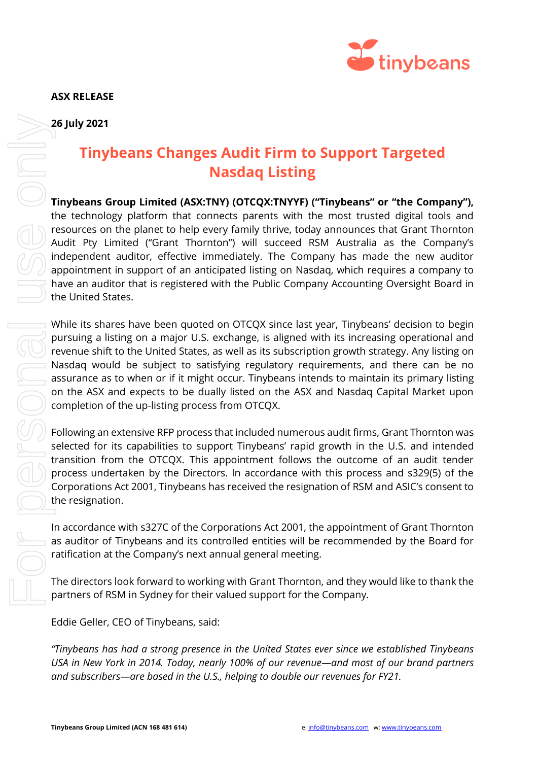**ASX RELEASE**



## **26 July 2021**

## **Tinybeans Changes Audit Firm to Support Targeted Nasdaq Listing**

**Tinybeans Group Limited (ASX:TNY) (OTCQX:TNYYF) ("Tinybeans" or "the Company"),** the technology platform that connects parents with the most trusted digital tools and resources on the planet to help every family thrive, today announces that Grant Thornton Audit Pty Limited ("Grant Thornton") will succeed RSM Australia as the Company's independent auditor, effective immediately. The Company has made the new auditor appointment in support of an anticipated listing on Nasdaq, which requires a company to have an auditor that is registered with the Public Company Accounting Oversight Board in the United States. **26 July 2021**<br> **And Scharfor Compare Subscribers**<br> **And Scharfor (ASSXTNY)** (OTCOX-TNYYP) (Tripybeans" or "the technology platform that concers on the poetry formity thrive, today announces that the the undelevented in th

While its shares have been quoted on OTCQX since last year, Tinybeans' decision to begin pursuing a listing on a major U.S. exchange, is aligned with its increasing operational and revenue shift to the United States, as well as its subscription growth strategy. Any listing on Nasdaq would be subject to satisfying regulatory requirements, and there can be no assurance as to when or if it might occur. Tinybeans intends to maintain its primary listing on the ASX and expects to be dually listed on the ASX and Nasdaq Capital Market upon completion of the up-listing process from OTCQX.

Following an extensive RFP process that included numerous audit firms, Grant Thornton was selected for its capabilities to support Tinybeans' rapid growth in the U.S. and intended transition from the OTCQX. This appointment follows the outcome of an audit tender process undertaken by the Directors. In accordance with this process and s329(5) of the Corporations Act 2001, Tinybeans has received the resignation of RSM and ASIC's consent to the resignation.

In accordance with s327C of the Corporations Act 2001, the appointment of Grant Thornton as auditor of Tinybeans and its controlled entities will be recommended by the Board for ratification at the Company's next annual general meeting.

The directors look forward to working with Grant Thornton, and they would like to thank the partners of RSM in Sydney for their valued support for the Company.

Eddie Geller, CEO of Tinybeans, said:

*"Tinybeans has had a strong presence in the United States ever since we established Tinybeans USA in New York in 2014. Today, nearly 100% of our revenue—and most of our brand partners*